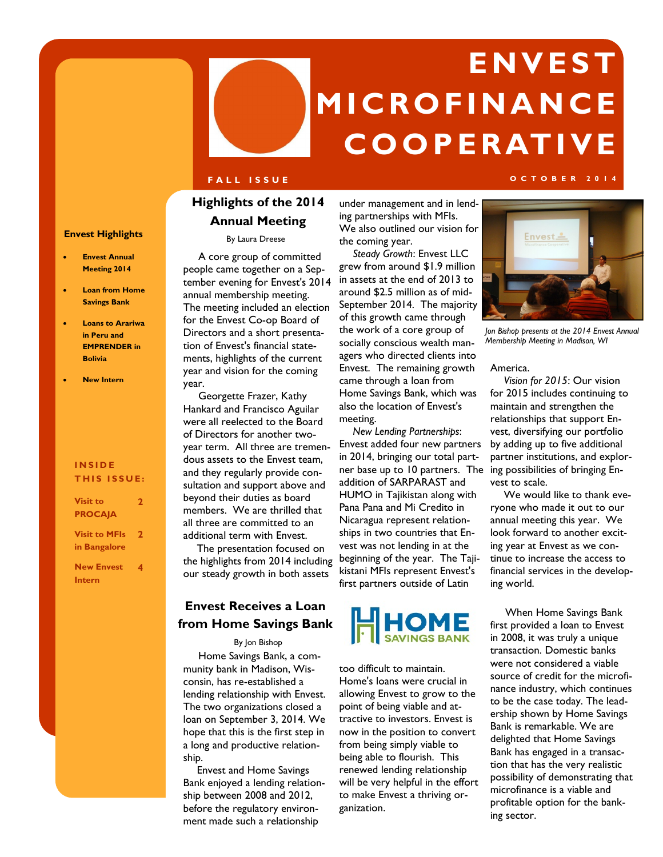# **E N V E S T M I C RO F I N A N C E C O O P E R AT I V E**

### **F A L L I S S U E O C T O B E R 2 0 1 4**

### **Highlights of the 2014 Annual Meeting**

### **Envest Highlights**

- **Envest Annual Meeting 2014**
- **Loan from Home Savings Bank**
- **Loans to Arariwa in Peru and EMPRENDER in Bolivia**
- **New Intern**

### **I N S I D E THIS ISSUE:**

| <b>Visit to</b>      | 2 |
|----------------------|---|
| <b>PROCAJA</b>       |   |
| <b>Visit to MFIs</b> | 2 |
| in Bangalore         |   |
| <b>New Envest</b>    | 4 |
| Intern               |   |

### By Laura Dreese

 A core group of committed people came together on a September evening for Envest's 2014 annual membership meeting. The meeting included an election for the Envest Co-op Board of Directors and a short presentation of Envest's financial statements, highlights of the current year and vision for the coming year.

 Georgette Frazer, Kathy Hankard and Francisco Aguilar were all reelected to the Board of Directors for another twoyear term. All three are tremendous assets to the Envest team, and they regularly provide consultation and support above and beyond their duties as board members. We are thrilled that all three are committed to an additional term with Envest.

 The presentation focused on the highlights from 2014 including our steady growth in both assets

### **Envest Receives a Loan from Home Savings Bank**

#### By Jon Bishop

 Home Savings Bank, a community bank in Madison, Wisconsin, has re-established a lending relationship with Envest. The two organizations closed a loan on September 3, 2014. We hope that this is the first step in a long and productive relationship.

 Envest and Home Savings Bank enjoyed a lending relationship between 2008 and 2012, before the regulatory environment made such a relationship

under management and in lending partnerships with MFIs. We also outlined our vision for the coming year.

 *Steady Growth*: Envest LLC grew from around \$1.9 million in assets at the end of 2013 to around \$2.5 million as of mid-September 2014. The majority of this growth came through the work of a core group of socially conscious wealth managers who directed clients into Envest. The remaining growth came through a loan from Home Savings Bank, which was also the location of Envest's meeting.

ner base up to 10 partners. The ing possibilities of bringing En- *New Lending Partnerships*: Envest added four new partners in 2014, bringing our total partaddition of SARPARAST and HUMO in Tajikistan along with Pana Pana and Mi Credito in Nicaragua represent relationships in two countries that Envest was not lending in at the beginning of the year. The Tajikistani MFIs represent Envest's first partners outside of Latin



too difficult to maintain. Home's loans were crucial in allowing Envest to grow to the point of being viable and attractive to investors. Envest is now in the position to convert from being simply viable to being able to flourish. This renewed lending relationship will be very helpful in the effort to make Envest a thriving organization.



*Jon Bishop presents at the 2014 Envest Annual Membership Meeting in Madison, WI*

America.

 *Vision for 2015*: Our vision for 2015 includes continuing to maintain and strengthen the relationships that support Envest, diversifying our portfolio by adding up to five additional partner institutions, and explorvest to scale.

 We would like to thank everyone who made it out to our annual meeting this year. We look forward to another exciting year at Envest as we continue to increase the access to financial services in the developing world.

 When Home Savings Bank first provided a loan to Envest in 2008, it was truly a unique transaction. Domestic banks were not considered a viable source of credit for the microfinance industry, which continues to be the case today. The leadership shown by Home Savings Bank is remarkable. We are delighted that Home Savings Bank has engaged in a transaction that has the very realistic possibility of demonstrating that microfinance is a viable and profitable option for the banking sector.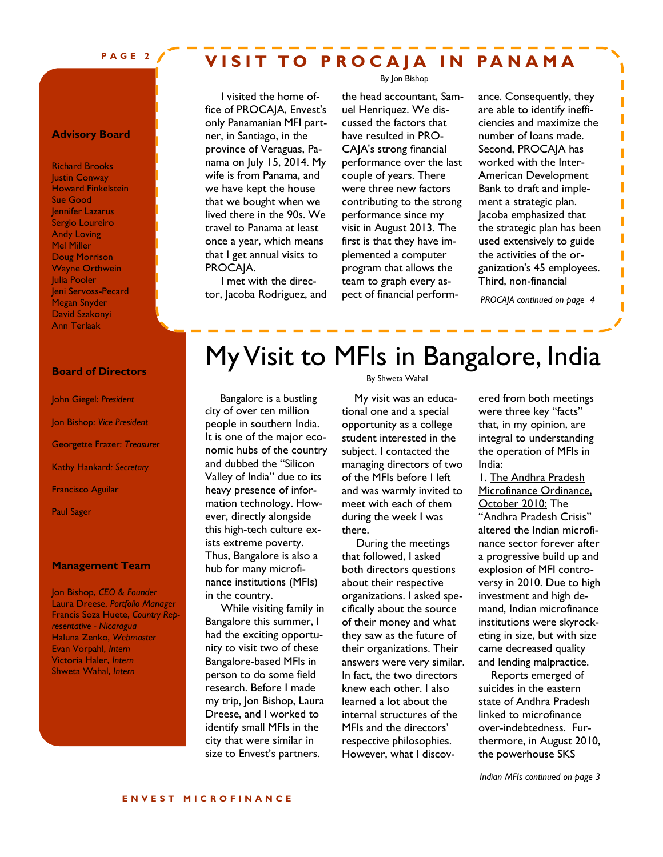### **P A G E 2**

### **VISIT TO PROCAIA IN PANAMA**

By Jon Bishop

**Advisory Board**

Richard Brooks **Justin Conway** Howard Finkelstein Sue Good Jennifer Lazarus Sergio Loureiro Andy Loving Mel Miller Doug Morrison Wayne Orthwein Julia Pooler Jeni Servoss-Pecard Megan Snyder David Szakonyi Ann Terlaak

#### **Board of Directors**

John Giegel: *President* Jon Bishop: *Vice President* Georgette Frazer: *Treasurer* Kathy Hankard*: Secretary* Francisco Aguilar

Paul Sager

### **Management Team**

Jon Bishop, *CEO & Founder* Laura Dreese, *Portfolio Manager* Francis Soza Huete, *Country Representative - Nicaragua* Haluna Zenko, *Webmaster*  Evan Vorpahl, *Intern* Victoria Haler, *Intern* Shweta Wahal, *Intern*

 I visited the home office of PROCAJA, Envest's only Panamanian MFI partner, in Santiago, in the province of Veraguas, Panama on July 15, 2014. My wife is from Panama, and we have kept the house that we bought when we lived there in the 90s. We travel to Panama at least once a year, which means that I get annual visits to PROCAJA.

 I met with the director, Jacoba Rodriguez, and the head accountant, Samuel Henriquez. We discussed the factors that have resulted in PRO-CAJA's strong financial performance over the last couple of years. There were three new factors contributing to the strong performance since my visit in August 2013. The first is that they have implemented a computer program that allows the team to graph every aspect of financial perform-

ance. Consequently, they are able to identify inefficiencies and maximize the number of loans made. Second, PROCAJA has worked with the Inter-American Development Bank to draft and implement a strategic plan. Jacoba emphasized that the strategic plan has been used extensively to guide the activities of the organization's 45 employees. Third, non-financial

*PROCAJA continued on page 4*

## My Visit to MFIs in Bangalore, India

 Bangalore is a bustling city of over ten million people in southern India. It is one of the major economic hubs of the country and dubbed the "Silicon Valley of India" due to its heavy presence of information technology. However, directly alongside this high-tech culture exists extreme poverty. Thus, Bangalore is also a hub for many microfinance institutions (MFIs) in the country.

 While visiting family in Bangalore this summer, I had the exciting opportunity to visit two of these Bangalore-based MFIs in person to do some field research. Before I made my trip, Jon Bishop, Laura Dreese, and I worked to identify small MFIs in the city that were similar in size to Envest's partners.

### By Shweta Wahal

 My visit was an educational one and a special opportunity as a college student interested in the subject. I contacted the managing directors of two of the MFIs before I left and was warmly invited to meet with each of them during the week I was there.

 During the meetings that followed, I asked both directors questions about their respective organizations. I asked specifically about the source of their money and what they saw as the future of their organizations. Their answers were very similar. In fact, the two directors knew each other. I also learned a lot about the internal structures of the MFIs and the directors' respective philosophies. However, what I discovered from both meetings were three key "facts" that, in my opinion, are integral to understanding the operation of MFIs in India:

1. The Andhra Pradesh Microfinance Ordinance, October 2010: The "Andhra Pradesh Crisis" altered the Indian microfinance sector forever after a progressive build up and explosion of MFI controversy in 2010. Due to high investment and high demand, Indian microfinance institutions were skyrocketing in size, but with size came decreased quality and lending malpractice.

 Reports emerged of suicides in the eastern state of Andhra Pradesh linked to microfinance over-indebtedness. Furthermore, in August 2010, the powerhouse SKS

*Indian MFIs continued on page 3*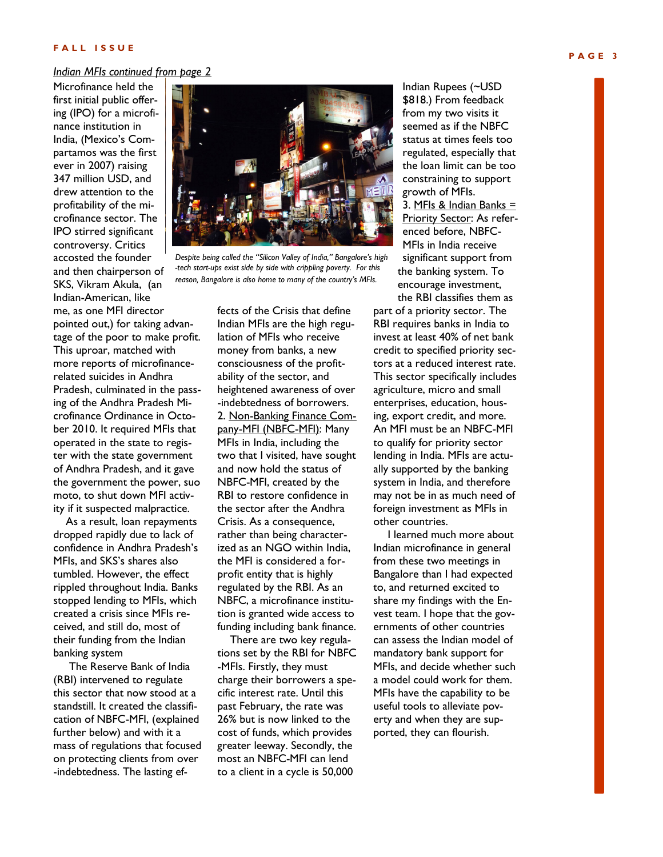### *Indian MFIs continued from page 2*

Microfinance held the first initial public offering (IPO) for a microfinance institution in India, (Mexico's Compartamos was the first ever in 2007) raising 347 million USD, and drew attention to the profitability of the microfinance sector. The IPO stirred significant controversy. Critics accosted the founder and then chairperson of SKS, Vikram Akula, (an Indian-American, like me, as one MFI director pointed out,) for taking advantage of the poor to make profit. This uproar, matched with more reports of microfinancerelated suicides in Andhra Pradesh, culminated in the passing of the Andhra Pradesh Microfinance Ordinance in October 2010. It required MFIs that operated in the state to register with the state government of Andhra Pradesh, and it gave the government the power, suo moto, to shut down MFI activity if it suspected malpractice.

 As a result, loan repayments dropped rapidly due to lack of confidence in Andhra Pradesh's MFIs, and SKS's shares also tumbled. However, the effect rippled throughout India. Banks stopped lending to MFIs, which created a crisis since MFIs received, and still do, most of their funding from the Indian banking system

 The Reserve Bank of India (RBI) intervened to regulate this sector that now stood at a standstill. It created the classification of NBFC-MFI, (explained further below) and with it a mass of regulations that focused on protecting clients from over -indebtedness. The lasting ef-



*Despite being called the "Silicon Valley of India," Bangalore's high -tech start-ups exist side by side with crippling poverty. For this reason, Bangalore is also home to many of the country's MFIs.*

fects of the Crisis that define Indian MFIs are the high regulation of MFIs who receive money from banks, a new consciousness of the profitability of the sector, and heightened awareness of over -indebtedness of borrowers. 2. Non-Banking Finance Company-MFI (NBFC-MFI): Many MFIs in India, including the two that I visited, have sought and now hold the status of NBFC-MFI, created by the RBI to restore confidence in the sector after the Andhra Crisis. As a consequence, rather than being characterized as an NGO within India, the MFI is considered a forprofit entity that is highly regulated by the RBI. As an NBFC, a microfinance institution is granted wide access to funding including bank finance.

 There are two key regulations set by the RBI for NBFC -MFIs. Firstly, they must charge their borrowers a specific interest rate. Until this past February, the rate was 26% but is now linked to the cost of funds, which provides greater leeway. Secondly, the most an NBFC-MFI can lend to a client in a cycle is 50,000

Indian Rupees (~USD \$818.) From feedback from my two visits it seemed as if the NBFC status at times feels too regulated, especially that the loan limit can be too constraining to support growth of MFIs.

3. MFIs & Indian Banks  $=$ Priority Sector: As referenced before, NBFC-MFIs in India receive significant support from the banking system. To encourage investment, the RBI classifies them as

part of a priority sector. The RBI requires banks in India to invest at least 40% of net bank credit to specified priority sectors at a reduced interest rate. This sector specifically includes agriculture, micro and small enterprises, education, housing, export credit, and more. An MFI must be an NBFC-MFI to qualify for priority sector lending in India. MFIs are actually supported by the banking system in India, and therefore may not be in as much need of foreign investment as MFIs in other countries.

 I learned much more about Indian microfinance in general from these two meetings in Bangalore than I had expected to, and returned excited to share my findings with the Envest team. I hope that the governments of other countries can assess the Indian model of mandatory bank support for MFIs, and decide whether such a model could work for them. MFIs have the capability to be useful tools to alleviate poverty and when they are supported, they can flourish.